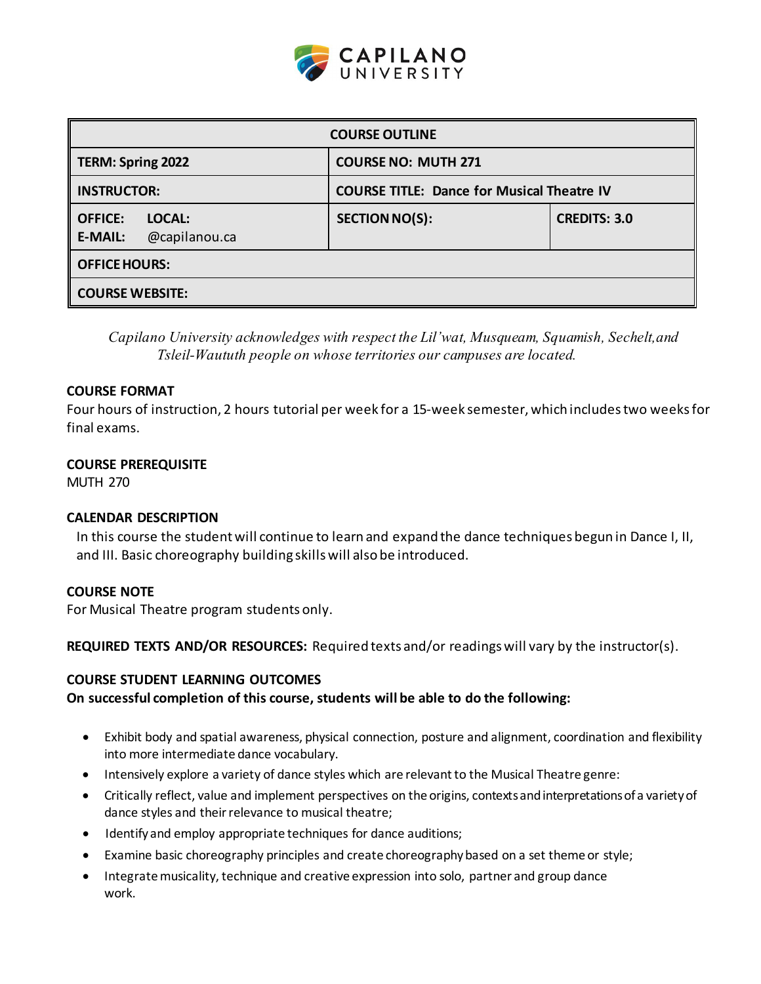

| <b>COURSE OUTLINE</b>                                       |                                                   |                     |  |  |  |
|-------------------------------------------------------------|---------------------------------------------------|---------------------|--|--|--|
| TERM: Spring 2022                                           | <b>COURSE NO: MUTH 271</b>                        |                     |  |  |  |
| <b>INSTRUCTOR:</b>                                          | <b>COURSE TITLE: Dance for Musical Theatre IV</b> |                     |  |  |  |
| <b>OFFICE:</b><br>LOCAL:<br><b>E-MAIL:</b><br>@capilanou.ca | <b>SECTION NO(S):</b>                             | <b>CREDITS: 3.0</b> |  |  |  |
| <b>OFFICE HOURS:</b>                                        |                                                   |                     |  |  |  |
| <b>COURSE WEBSITE:</b>                                      |                                                   |                     |  |  |  |

*Capilano University acknowledges with respect the Lil'wat, Musqueam, Squamish, Sechelt,and Tsleil-Waututh people on whose territories our campuses are located.*

#### **COURSE FORMAT**

Four hours of instruction, 2 hours tutorial per week for a 15-week semester, which includestwo weeksfor final exams.

### **COURSE PREREQUISITE**

MUTH 270

#### **CALENDAR DESCRIPTION**

In this course the student will continue to learn and expand the dance techniques begun in Dance I, II, and III. Basic choreography building skillswill also be introduced.

#### **COURSE NOTE**

For Musical Theatre program students only.

**REQUIRED TEXTS AND/OR RESOURCES:** Required texts and/or readingswill vary by the instructor(s).

### **COURSE STUDENT LEARNING OUTCOMES**

#### **On successful completion of this course, students will be able to do the following:**

- Exhibit body and spatial awareness, physical connection, posture and alignment, coordination and flexibility into more intermediate dance vocabulary.
- Intensively explore a variety of dance styles which are relevant to the Musical Theatre genre:
- Critically reflect, value and implement perspectives on the origins, contextsandinterpretationsof a varietyof dance styles and their relevance to musical theatre;
- Identifyand employ appropriate techniques for dance auditions;
- Examine basic choreography principles and create choreographybased on a set theme or style;
- Integrate musicality, technique and creative expression into solo, partner and group dance work.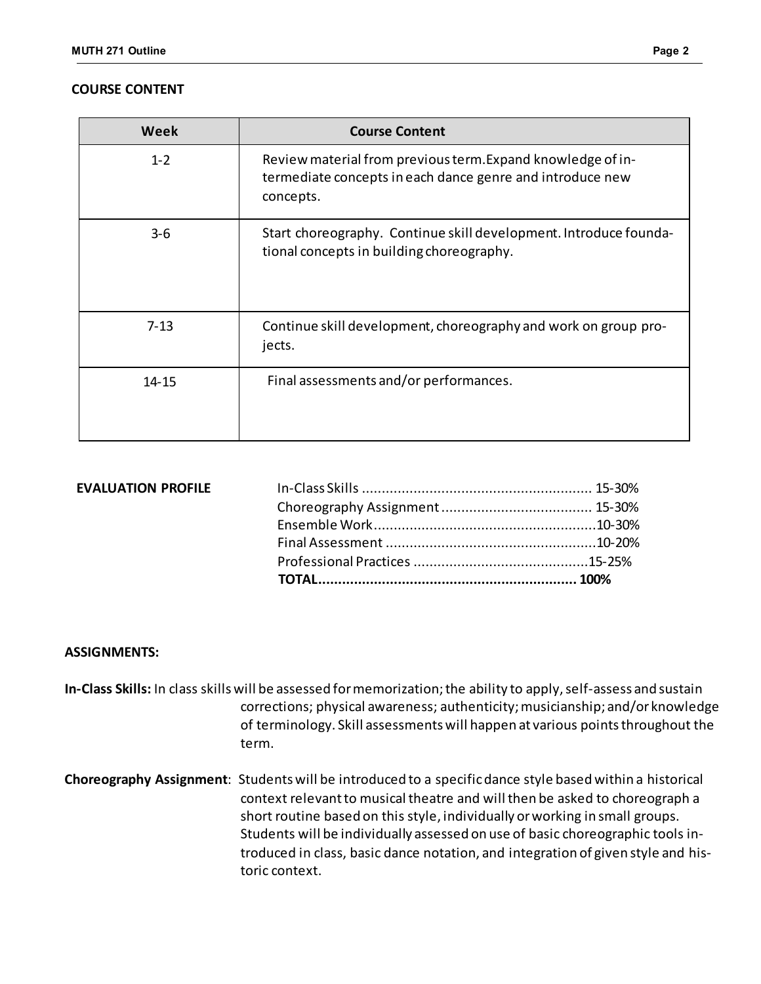#### **COURSE CONTENT**

| Week     | <b>Course Content</b>                                                                                                                 |  |
|----------|---------------------------------------------------------------------------------------------------------------------------------------|--|
| $1 - 2$  | Review material from previous term. Expand knowledge of in-<br>termediate concepts in each dance genre and introduce new<br>concepts. |  |
| $3 - 6$  | Start choreography. Continue skill development. Introduce founda-<br>tional concepts in building choreography.                        |  |
| $7 - 13$ | Continue skill development, choreography and work on group pro-<br>jects.                                                             |  |
| 14-15    | Final assessments and/or performances.                                                                                                |  |

| <b>EVALUATION PROFILE</b> |  |
|---------------------------|--|

#### **ASSIGNMENTS:**

- In-Class Skills: In class skills will be assessed for memorization; the ability to apply, self-assess and sustain corrections; physical awareness; authenticity;musicianship; and/or knowledge of terminology. Skill assessmentswill happen at various pointsthroughout the term.
- **Choreography Assignment**: Students will be introduced to a specificdance style basedwithin a historical context relevantto musical theatre and will then be asked to choreograph a short routine based on this style, individually orworking in small groups. Students will be individually assessed on use of basic choreographic tools introduced in class, basic dance notation, and integration of given style and historic context.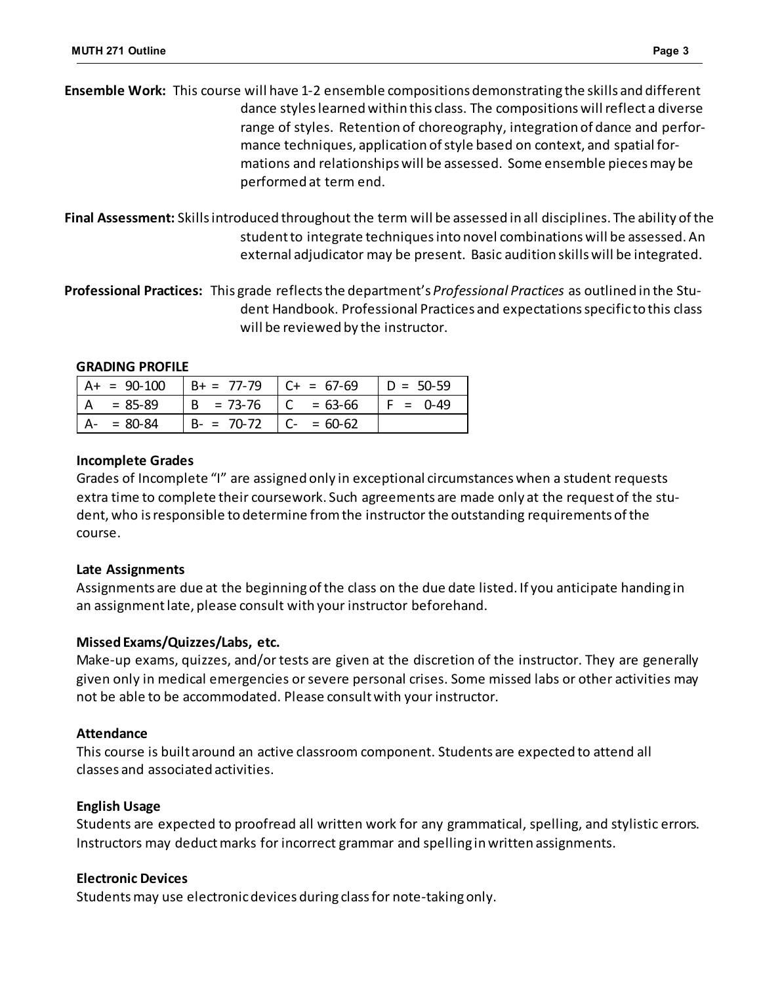**Ensemble Work:** This course will have 1-2 ensemble compositions demonstrating the skills and different dance styles learned within this class. The compositions will reflect a diverse range of styles. Retention of choreography, integration of dance and performance techniques, application ofstyle based on context, and spatial formations and relationshipswill be assessed. Some ensemble piecesmay be performed at term end.

**Final Assessment:** Skillsintroduced throughout the term will be assessed in all disciplines. The ability ofthe student to integrate techniques into novel combinations will be assessed. An external adjudicator may be present. Basic audition skillswill be integrated.

**Professional Practices:** This grade reflectsthe department's *Professional Practices* as outlined in the Student Handbook. Professional Practices and expectationsspecific to this class will be reviewed by the instructor.

### **GRADING PROFILE**

| $A+ = 90-100$ | $B + = 77-79$ $C + = 67-69$ |              | $D = 50-59$ |
|---------------|-----------------------------|--------------|-------------|
| $= 85 - 89$   | $  B = 73-76   C = 63-66$   |              | $F = 0.49$  |
| $= 80 - 84$   | $B - = 70-72$               | $C- = 60-62$ |             |

## **Incomplete Grades**

Grades of Incomplete "I" are assigned only in exceptional circumstanceswhen a student requests extra time to complete their coursework. Such agreements are made only at the request of the student, who is responsible to determine from the instructor the outstanding requirements of the course.

## **Late Assignments**

Assignments are due at the beginningofthe class on the due date listed. If you anticipate handing in an assignmentlate, please consult with your instructor beforehand.

## **MissedExams/Quizzes/Labs, etc.**

Make-up exams, quizzes, and/or tests are given at the discretion of the instructor. They are generally given only in medical emergencies or severe personal crises. Some missed labs or other activities may not be able to be accommodated. Please consultwith your instructor.

## **Attendance**

This course is built around an active classroom component. Students are expected to attend all classes and associated activities.

## **English Usage**

Students are expected to proofread all written work for any grammatical, spelling, and stylistic errors. Instructors may deduct marks for incorrect grammar and spelling in written assignments.

## **Electronic Devices**

Studentsmay use electronicdevices during classfor note-takingonly.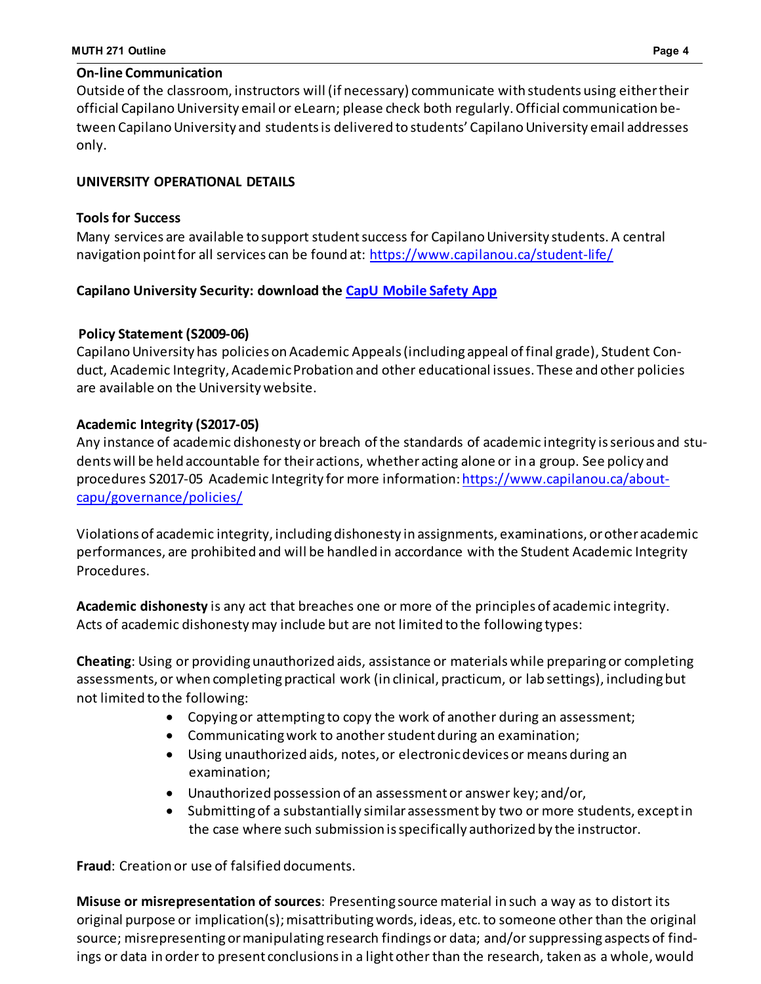## **On-line Communication**

Outside of the classroom, instructors will (if necessary) communicate with students using eithertheir official Capilano University email or eLearn; please check both regularly. Official communication between Capilano University and students is delivered to students' Capilano University email addresses only.

# **UNIVERSITY OPERATIONAL DETAILS**

## **Tools for Success**

Many services are available to support student success for Capilano University students. A central navigation pointfor all services can be found at: <https://www.capilanou.ca/student-life/>

# **Capilano University Security: download the CapU [Mobile](https://www.capilanou.ca/student-life/support--wellness/safety--security/capu-safe-app/) Safety App**

# **Policy Statement (S2009-06)**

Capilano University has policies on Academic Appeals (including appeal of final grade), Student Conduct, Academic Integrity, Academic Probation and other educational issues. These and other policies are available on the University website.

# **Academic Integrity (S2017-05)**

Any instance of academic dishonesty or breach ofthe standards of academic integrity isserious and studentswill be held accountable for theiractions, whetheracting alone or in a group. See policy and procedures S2017-05 Academic Integrity for more information: [https://www.capilanou.ca/about](https://www.capilanou.ca/about-capu/governance/policies/)[capu/governance/policies/](https://www.capilanou.ca/about-capu/governance/policies/)

Violations of academic integrity, includingdishonesty in assignments, examinations, orotheracademic performances, are prohibited and will be handled in accordance with the Student Academic Integrity Procedures.

**Academic dishonesty** is any act that breaches one or more of the principles of academic integrity. Acts of academic dishonestymay include but are not limited to the following types:

**Cheating**: Using or providingunauthorized aids, assistance or materialswhile preparingor completing assessments, or when completing practical work (in clinical, practicum, or lab settings), including but not limited to the following:

- Copyingor attempting to copy the work of another during an assessment;
- Communicating work to another student during an examination;
- Using unauthorized aids, notes, or electronicdevices or means during an examination;
- Unauthorized possession of an assessmentor answer key; and/or,
- Submittingof a substantially similarassessment by two or more students, exceptin the case where such submission isspecifically authorized by the instructor.

**Fraud**: Creation or use of falsified documents.

**Misuse or misrepresentation of sources**: Presenting source material in such a way as to distort its original purpose or implication(s); misattributing words, ideas, etc. to someone other than the original source; misrepresentingormanipulating research findings or data; and/orsuppressing aspects of findings or data in order to present conclusionsin a lightother than the research, taken as a whole, would